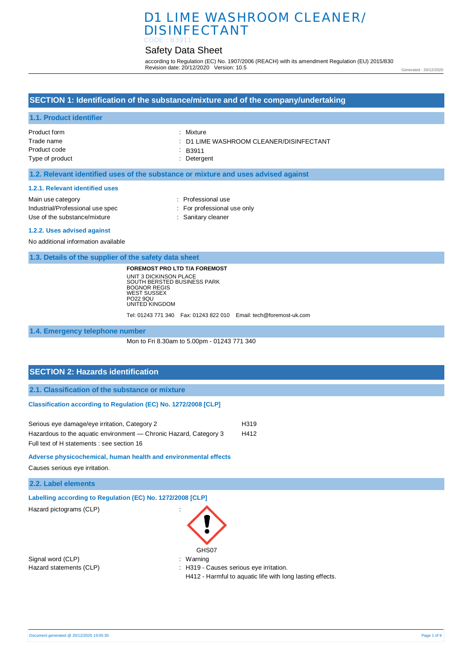## Safety Data Sheet

according to Regulation (EC) No. 1907/2006 (REACH) with its amendment Regulation (EU) 2015/830 Revision date: 20/12/2020 Version: 10.5

Generated : 20/12/2020

### **SECTION 1: Identification of the substance/mixture and of the company/undertaking**

#### **1.1. Product identifier**

| Product form    | : Mixture                               |
|-----------------|-----------------------------------------|
| Trade name      | : D1 LIME WASHROOM CLEANER/DISINFECTANT |
| Product code    | $\therefore$ B3911                      |
| Type of product | : Detergent                             |
|                 |                                         |

#### **1.2. Relevant identified uses of the substance or mixture and uses advised against**

#### **1.2.1. Relevant identified uses**

| Main use category                | : Professional use          |
|----------------------------------|-----------------------------|
| Industrial/Professional use spec | : For professional use only |
| Use of the substance/mixture     | : Sanitary cleaner          |

#### **1.2.2. Uses advised against**

No additional information available

**1.3. Details of the supplier of the safety data sheet**

**FOREMOST PRO LTD T/A FOREMOST** UNIT 3 DICKINSON PLACE SOUTH BERSTED BUSINESS PARK BOGNOR REGIS WEST SUSSEX PO22 9QU UNITED KINGDOM

Tel: 01243 771 340 Fax: 01243 822 010 Email: tech@foremost-uk.com

**1.4. Emergency telephone number**

Mon to Fri 8.30am to 5.00pm - 01243 771 340

### **SECTION 2: Hazards identification**

**2.1. Classification of the substance or mixture**

### **Classification according to Regulation (EC) No. 1272/2008 [CLP]**

| Serious eye damage/eye irritation, Category 2                     | H319 |
|-------------------------------------------------------------------|------|
| Hazardous to the aquatic environment — Chronic Hazard, Category 3 | H412 |
| Full text of H statements : see section 16                        |      |

### **Adverse physicochemical, human health and environmental effects**

Causes serious eye irritation.

### **2.2. Label elements**

**Labelling according to Regulation (EC) No. 1272/2008 [CLP]** 

Hazard pictograms (CLP) :

Signal word (CLP)  $\qquad \qquad$ : Warning



Hazard statements (CLP) : H319 - Causes serious eye irritation. H412 - Harmful to aquatic life with long lasting effects.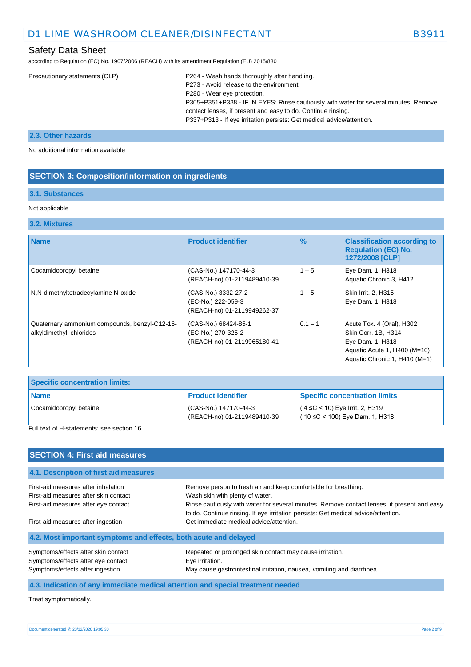according to Regulation (EC) No. 1907/2006 (REACH) with its amendment Regulation (EU) 2015/830

| Precautionary statements (CLP) | : P264 - Wash hands thoroughly after handling.                                       |
|--------------------------------|--------------------------------------------------------------------------------------|
|                                | P273 - Avoid release to the environment.                                             |
|                                | P280 - Wear eye protection.                                                          |
|                                | P305+P351+P338 - IF IN EYES: Rinse cautiously with water for several minutes. Remove |
|                                | contact lenses, if present and easy to do. Continue rinsing.                         |
|                                | P337+P313 - If eye irritation persists: Get medical advice/attention.                |
|                                |                                                                                      |

### **2.3. Other hazards**

No additional information available

### **SECTION 3: Composition/information on ingredients**

### **3.1. Substances**

#### Not applicable

#### **3.2. Mixtures**

| <b>Name</b>                                                               | <b>Product identifier</b>                                                 | $\frac{9}{6}$ | <b>Classification according to</b><br><b>Regulation (EC) No.</b><br>1272/2008 [CLP]                                                   |
|---------------------------------------------------------------------------|---------------------------------------------------------------------------|---------------|---------------------------------------------------------------------------------------------------------------------------------------|
| Cocamidopropyl betaine                                                    | (CAS-No.) 147170-44-3<br>(REACH-no) 01-2119489410-39                      | $1 - 5$       | Eye Dam. 1, H318<br>Aquatic Chronic 3, H412                                                                                           |
| N,N-dimethyltetradecylamine N-oxide                                       | (CAS-No.) 3332-27-2<br>(EC-No.) 222-059-3<br>(REACH-no) 01-2119949262-37  | $1 - 5$       | Skin Irrit. 2, H315<br>Eye Dam. 1, H318                                                                                               |
| Quaternary ammonium compounds, benzyl-C12-16-<br>alkyldimethyl, chlorides | (CAS-No.) 68424-85-1<br>(EC-No.) 270-325-2<br>(REACH-no) 01-2119965180-41 | $0.1 - 1$     | Acute Tox. 4 (Oral), H302<br>Skin Corr. 1B, H314<br>Eye Dam. 1, H318<br>Aquatic Acute 1, H400 (M=10)<br>Aquatic Chronic 1, H410 (M=1) |

| <b>Specific concentration limits:</b> |                                                     |                                                                              |  |
|---------------------------------------|-----------------------------------------------------|------------------------------------------------------------------------------|--|
| <b>Name</b>                           | <b>Product identifier</b>                           | <b>Specific concentration limits</b>                                         |  |
| Cocamidopropyl betaine                | CAS-No.) 147170-44-3<br>(REACH-no) 01-2119489410-39 | $(4 \leq C < 10)$ Eye Irrit. 2, H319<br>$(10 \leq C < 100)$ Eye Dam. 1, H318 |  |

Full text of H-statements: see section 16

| <b>SECTION 4: First aid measures</b>                                                                                 |                                                                                                                                                                                                                                                                                              |
|----------------------------------------------------------------------------------------------------------------------|----------------------------------------------------------------------------------------------------------------------------------------------------------------------------------------------------------------------------------------------------------------------------------------------|
| 4.1. Description of first aid measures                                                                               |                                                                                                                                                                                                                                                                                              |
| First-aid measures after inhalation<br>First-aid measures after skin contact<br>First-aid measures after eye contact | : Remove person to fresh air and keep comfortable for breathing.<br>: Wash skin with plenty of water.<br>: Rinse cautiously with water for several minutes. Remove contact lenses, if present and easy<br>to do. Continue rinsing. If eye irritation persists: Get medical advice/attention. |
| First-aid measures after ingestion                                                                                   | : Get immediate medical advice/attention.                                                                                                                                                                                                                                                    |
| 4.2. Most important symptoms and effects, both acute and delayed                                                     |                                                                                                                                                                                                                                                                                              |
| Symptoms/effects after skin contact<br>Symptoms/effects after eye contact<br>Symptoms/effects after ingestion        | : Repeated or prolonged skin contact may cause irritation.<br>$\therefore$ Eye irritation.<br>: May cause gastrointestinal irritation, nausea, vomiting and diarrhoea.                                                                                                                       |
|                                                                                                                      | 4.3. Indication of any immediate medical attention and special treatment needed                                                                                                                                                                                                              |

Treat symptomatically.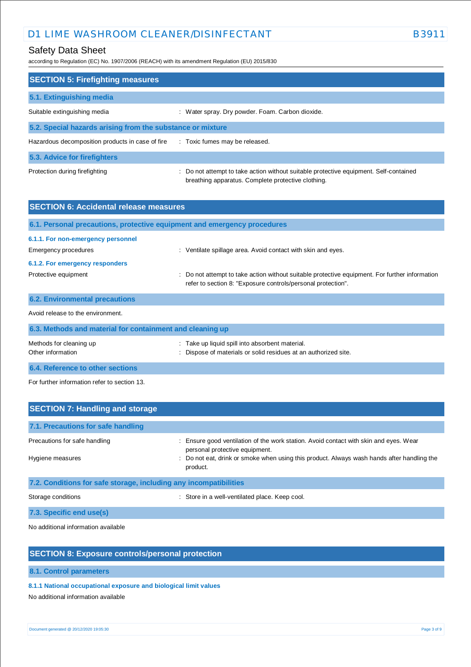## Safety Data Sheet

according to Regulation (EC) No. 1907/2006 (REACH) with its amendment Regulation (EU) 2015/830

| <b>SECTION 5: Firefighting measures</b>                    |                                                                                                                                             |  |  |
|------------------------------------------------------------|---------------------------------------------------------------------------------------------------------------------------------------------|--|--|
| 5.1. Extinguishing media                                   |                                                                                                                                             |  |  |
| Suitable extinguishing media                               | : Water spray. Dry powder. Foam. Carbon dioxide.                                                                                            |  |  |
| 5.2. Special hazards arising from the substance or mixture |                                                                                                                                             |  |  |
| Hazardous decomposition products in case of fire           | : Toxic fumes may be released.                                                                                                              |  |  |
| 5.3. Advice for firefighters                               |                                                                                                                                             |  |  |
| Protection during firefighting                             | : Do not attempt to take action without suitable protective equipment. Self-contained<br>breathing apparatus. Complete protective clothing. |  |  |

| <b>SECTION 6: Accidental release measures</b>                            |                                                                                                                                                                |  |
|--------------------------------------------------------------------------|----------------------------------------------------------------------------------------------------------------------------------------------------------------|--|
| 6.1. Personal precautions, protective equipment and emergency procedures |                                                                                                                                                                |  |
| 6.1.1. For non-emergency personnel                                       |                                                                                                                                                                |  |
| Emergency procedures                                                     | : Ventilate spillage area. Avoid contact with skin and eyes.                                                                                                   |  |
| 6.1.2. For emergency responders                                          |                                                                                                                                                                |  |
| Protective equipment                                                     | : Do not attempt to take action without suitable protective equipment. For further information<br>refer to section 8: "Exposure controls/personal protection". |  |
| <b>6.2. Environmental precautions</b>                                    |                                                                                                                                                                |  |
| Avoid release to the environment.                                        |                                                                                                                                                                |  |
| 6.3. Methods and material for containment and cleaning up                |                                                                                                                                                                |  |
| Mathada far alaaning un                                                  | . Toke un liquid anill into observant moterial                                                                                                                 |  |

| Methods for cleaning up          | : Take up liquid spill into absorbent material.               |
|----------------------------------|---------------------------------------------------------------|
| Other information                | Dispose of materials or solid residues at an authorized site. |
| 6.4. Reference to other sections |                                                               |

For further information refer to section 13.

| <b>SECTION 7: Handling and storage</b>                            |                                                                                                                         |  |  |
|-------------------------------------------------------------------|-------------------------------------------------------------------------------------------------------------------------|--|--|
| 7.1. Precautions for safe handling                                |                                                                                                                         |  |  |
| Precautions for safe handling                                     | : Ensure good ventilation of the work station. Avoid contact with skin and eyes. Wear<br>personal protective equipment. |  |  |
| Hygiene measures                                                  | : Do not eat, drink or smoke when using this product. Always wash hands after handling the<br>product.                  |  |  |
| 7.2. Conditions for safe storage, including any incompatibilities |                                                                                                                         |  |  |
| Storage conditions                                                | : Store in a well-ventilated place. Keep cool.                                                                          |  |  |
| 7.3. Specific end use(s)                                          |                                                                                                                         |  |  |

No additional information available

## **SECTION 8: Exposure controls/personal protection**

**8.1. Control parameters**

### **8.1.1 National occupational exposure and biological limit values**

No additional information available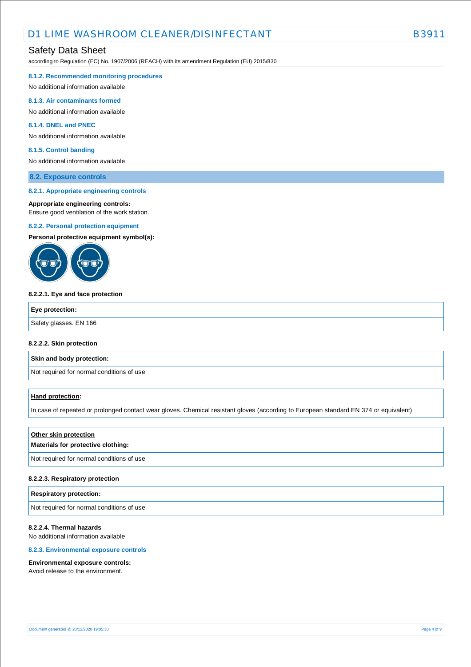### Safety Data Sheet

according to Regulation (EC) No. 1907/2006 (REACH) with its amendment Regulation (EU) 2015/830

#### **8.1.2. Recommended monitoring procedures**

No additional information available

#### **8.1.3. Air contaminants formed**

No additional information available

#### **8.1.4. DNEL and PNEC**

No additional information available

#### **8.1.5. Control banding**

No additional information available

#### **8.2. Exposure controls**

#### **8.2.1. Appropriate engineering controls**

#### **Appropriate engineering controls:**

Ensure good ventilation of the work station.

#### **8.2.2. Personal protection equipment**

**Personal protective equipment symbol(s):**



#### **8.2.2.1. Eye and face protection**

| Eye protection:        |  |
|------------------------|--|
| Safety glasses. EN 166 |  |
|                        |  |

#### **8.2.2.2. Skin protection**

**Skin and body protection:**

Not required for normal conditions of use

#### **Hand protection:**

In case of repeated or prolonged contact wear gloves. Chemical resistant gloves (according to European standard EN 374 or equivalent)

#### **Other skin protection**

#### **Materials for protective clothing:**

Not required for normal conditions of use

#### **8.2.2.3. Respiratory protection**

#### **Respiratory protection:**

Not required for normal conditions of use

#### **8.2.2.4. Thermal hazards**

No additional information available

#### **8.2.3. Environmental exposure controls**

#### **Environmental exposure controls:**

Avoid release to the environment.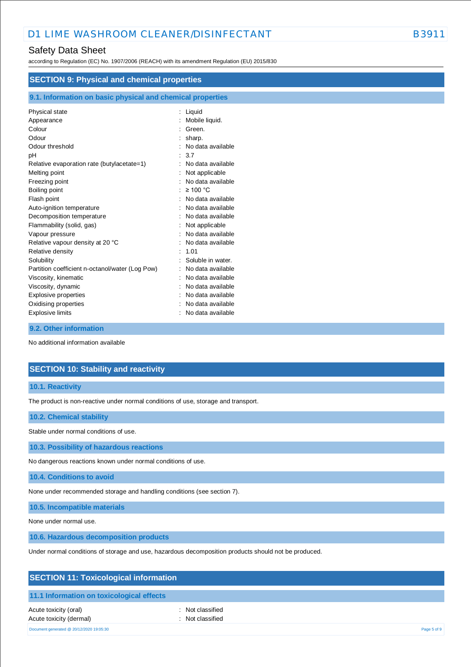## Safety Data Sheet

according to Regulation (EC) No. 1907/2006 (REACH) with its amendment Regulation (EU) 2015/830

| <b>SECTION 9: Physical and chemical properties</b>         |                   |  |
|------------------------------------------------------------|-------------------|--|
| 9.1. Information on basic physical and chemical properties |                   |  |
| Physical state                                             | $:$ Liquid        |  |
| Appearance                                                 | Mobile liquid.    |  |
| Colour                                                     | Green.            |  |
| Odour                                                      | sharp.            |  |
| Odour threshold                                            | No data available |  |
| рH                                                         | 3.7               |  |
| Relative evaporation rate (butylacetate=1)                 | No data available |  |
| Melting point                                              | Not applicable    |  |
| Freezing point                                             | No data available |  |
| Boiling point                                              | $\geq 100$ °C     |  |
| Flash point                                                | No data available |  |
| Auto-ignition temperature                                  | No data available |  |
| Decomposition temperature                                  | No data available |  |
| Flammability (solid, gas)                                  | Not applicable    |  |
| Vapour pressure                                            | No data available |  |
| Relative vapour density at 20 °C                           | No data available |  |
| Relative density                                           | 1.01              |  |
| Solubility                                                 | Soluble in water. |  |
| Partition coefficient n-octanol/water (Log Pow)            | No data available |  |
| Viscosity, kinematic                                       | No data available |  |
| Viscosity, dynamic                                         | No data available |  |
| Explosive properties                                       | No data available |  |
| Oxidising properties                                       | No data available |  |
| <b>Explosive limits</b>                                    | No data available |  |

#### **9.2. Other information**

No additional information available

### **SECTION 10: Stability and reactivity**

#### **10.1. Reactivity**

The product is non-reactive under normal conditions of use, storage and transport.

#### **10.2. Chemical stability**

Stable under normal conditions of use.

**10.3. Possibility of hazardous reactions**

No dangerous reactions known under normal conditions of use.

**10.4. Conditions to avoid**

None under recommended storage and handling conditions (see section 7).

**10.5. Incompatible materials**

None under normal use.

**10.6. Hazardous decomposition products**

Under normal conditions of storage and use, hazardous decomposition products should not be produced.

### **SECTION 11: Toxicological information**

#### **11.1 Information on toxicological effects**

Acute toxicity (oral) **Example 2** Constant Acute toxicity (oral) Acute toxicity (dermal) **Example 2** and the classified in the classified

Document generated @ 20/12/2020 19:05:30 Page 5 of 9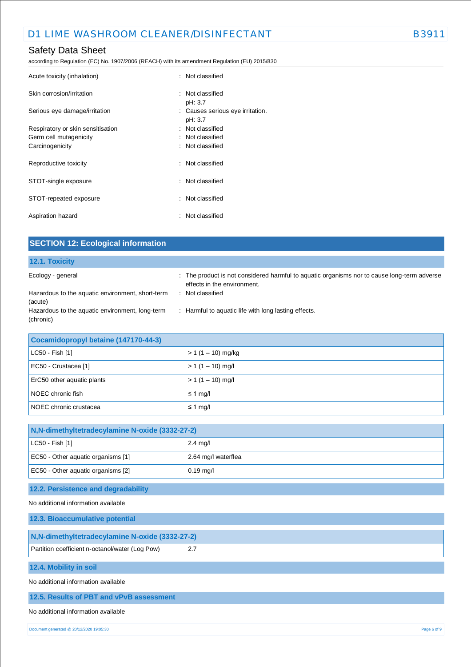## Safety Data Sheet

according to Regulation (EC) No. 1907/2006 (REACH) with its amendment Regulation (EU) 2015/830

| Acute toxicity (inhalation)       | : Not classified                            |
|-----------------------------------|---------------------------------------------|
| Skin corrosion/irritation         | : Not classified<br>pH: 3.7                 |
| Serious eye damage/irritation     | : Causes serious eye irritation.<br>pH: 3.7 |
| Respiratory or skin sensitisation | : Not classified                            |
| Germ cell mutagenicity            | : Not classified                            |
| Carcinogenicity                   | : Not classified                            |
| Reproductive toxicity             | : Not classified                            |
| STOT-single exposure              | : Not classified                            |
| STOT-repeated exposure            | : Not classified                            |
| Aspiration hazard                 | : Not classified                            |

| <b>SECTION 12: Ecological information</b>                    |                                                                                                                            |
|--------------------------------------------------------------|----------------------------------------------------------------------------------------------------------------------------|
| 12.1. Toxicity                                               |                                                                                                                            |
| Ecology - general                                            | : The product is not considered harmful to aquatic organisms nor to cause long-term adverse<br>effects in the environment. |
| Hazardous to the aquatic environment, short-term<br>(acute)  | : Not classified                                                                                                           |
| Hazardous to the aquatic environment, long-term<br>(chronic) | : Harmful to aquatic life with long lasting effects.                                                                       |
| Cocamidopropyl betaine (147170-44-3)                         |                                                                                                                            |
| LC50 - Fish [1]                                              | $> 1(1 - 10)$ mg/kg                                                                                                        |
| EC50 - Crustacea [1]                                         | $> 1(1 - 10)$ mg/l                                                                                                         |
| ErC50 other aquatic plants                                   | $> 1(1 - 10)$ mg/l                                                                                                         |

| N, N-dimethyltetradecylamine N-oxide (3332-27-2) |                     |
|--------------------------------------------------|---------------------|
| $ $ LC50 - Fish [1]                              | $2.4 \text{ mg}/I$  |
| EC50 - Other aquatic organisms [1]               | 2.64 mg/l waterflea |
| EC50 - Other aquatic organisms [2]               | $0.19$ mg/l         |

### **12.2. Persistence and degradability**

NOEC chronic fish  $\leq 1$  mg/l NOEC chronic crustacea <br>
■ ≤ 1 mg/l

No additional information available

| 12.3. Bioaccumulative potential                  |     |  |
|--------------------------------------------------|-----|--|
| N, N-dimethyltetradecylamine N-oxide (3332-27-2) |     |  |
| Partition coefficient n-octanol/water (Log Pow)  | 2.7 |  |
| 12.4. Mobility in soil                           |     |  |
| No additional information available              |     |  |

# **12.5. Results of PBT and vPvB assessment**

### No additional information available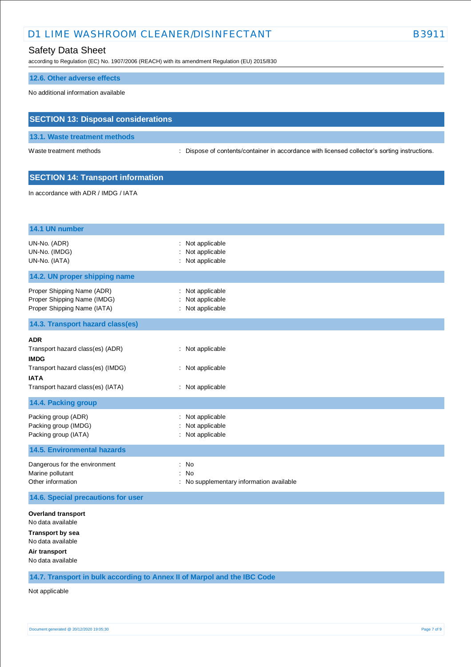### Safety Data Sheet

according to Regulation (EC) No. 1907/2006 (REACH) with its amendment Regulation (EU) 2015/830

#### **12.6. Other adverse effects**

No additional information available

## **SECTION 13: Disposal considerations**

**13.1. Waste treatment methods**

Waste treatment methods : Dispose of contents/container in accordance with licensed collector's sorting instructions.

### **SECTION 14: Transport information**

In accordance with ADR / IMDG / IATA

| 14.1 UN number                                                                                                                                         |                                                           |
|--------------------------------------------------------------------------------------------------------------------------------------------------------|-----------------------------------------------------------|
| UN-No. (ADR)<br>UN-No. (IMDG)<br>UN-No. (IATA)                                                                                                         | : Not applicable<br>Not applicable<br>Not applicable      |
| 14.2. UN proper shipping name                                                                                                                          |                                                           |
| Proper Shipping Name (ADR)<br>Proper Shipping Name (IMDG)<br>Proper Shipping Name (IATA)                                                               | Not applicable<br>Not applicable<br>: Not applicable      |
| 14.3. Transport hazard class(es)                                                                                                                       |                                                           |
| <b>ADR</b><br>Transport hazard class(es) (ADR)<br><b>IMDG</b><br>Transport hazard class(es) (IMDG)<br><b>IATA</b><br>Transport hazard class(es) (IATA) | : Not applicable<br>: Not applicable<br>: Not applicable  |
| 14.4. Packing group                                                                                                                                    |                                                           |
| Packing group (ADR)<br>Packing group (IMDG)<br>Packing group (IATA)                                                                                    | Not applicable<br>Not applicable<br>: Not applicable      |
| <b>14.5. Environmental hazards</b>                                                                                                                     |                                                           |
| Dangerous for the environment<br>Marine pollutant<br>Other information                                                                                 | No<br>÷<br>: No<br>No supplementary information available |
| 14.6. Special precautions for user                                                                                                                     |                                                           |
| <b>Overland transport</b><br>No data available                                                                                                         |                                                           |

**Transport by sea**

No data available

**Air transport**

No data available

**14.7. Transport in bulk according to Annex II of Marpol and the IBC Code**

Not applicable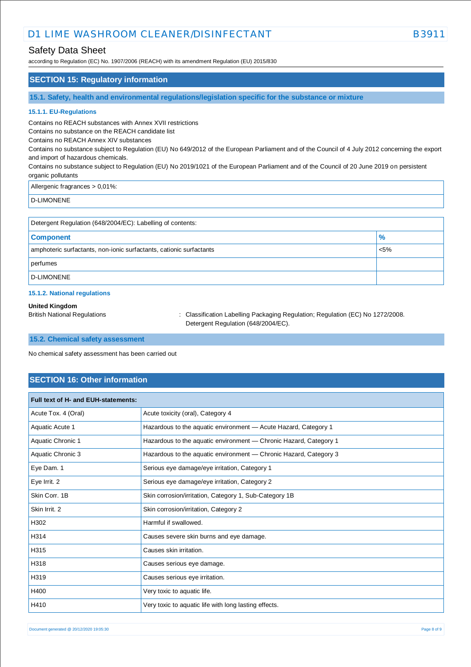### Safety Data Sheet

according to Regulation (EC) No. 1907/2006 (REACH) with its amendment Regulation (EU) 2015/830

#### **SECTION 15: Regulatory information**

**15.1. Safety, health and environmental regulations/legislation specific for the substance or mixture**

#### **15.1.1. EU-Regulations**

Contains no REACH substances with Annex XVII restrictions

Contains no substance on the REACH candidate list

Contains no REACH Annex XIV substances

Contains no substance subject to Regulation (EU) No 649/2012 of the European Parliament and of the Council of 4 July 2012 concerning the export and import of hazardous chemicals.

Contains no substance subject to Regulation (EU) No 2019/1021 of the European Parliament and of the Council of 20 June 2019 on persistent organic pollutants

#### Allergenic fragrances > 0,01%:

D-LIMONENE

| Detergent Regulation (648/2004/EC): Labelling of contents:          |         |
|---------------------------------------------------------------------|---------|
| <b>Component</b>                                                    | %       |
| amphoteric surfactants, non-ionic surfactants, cationic surfactants | $< 5\%$ |
| perfumes                                                            |         |
| D-LIMONENE                                                          |         |

#### **15.1.2. National regulations**

#### **United Kingdom**

British National Regulations : Classification Labelling Packaging Regulation; Regulation (EC) No 1272/2008. Detergent Regulation (648/2004/EC).

#### **15.2. Chemical safety assessment**

No chemical safety assessment has been carried out

#### **SECTION 16: Other information**

| Full text of H- and EUH-statements: |                                                                   |  |
|-------------------------------------|-------------------------------------------------------------------|--|
| Acute Tox. 4 (Oral)                 | Acute toxicity (oral), Category 4                                 |  |
| Aquatic Acute 1                     | Hazardous to the aquatic environment - Acute Hazard, Category 1   |  |
| Aquatic Chronic 1                   | Hazardous to the aquatic environment - Chronic Hazard, Category 1 |  |
| Aquatic Chronic 3                   | Hazardous to the aquatic environment — Chronic Hazard, Category 3 |  |
| Eye Dam. 1                          | Serious eye damage/eye irritation, Category 1                     |  |
| Eye Irrit. 2                        | Serious eye damage/eye irritation, Category 2                     |  |
| Skin Corr. 1B                       | Skin corrosion/irritation, Category 1, Sub-Category 1B            |  |
| Skin Irrit. 2                       | Skin corrosion/irritation, Category 2                             |  |
| H302                                | Harmful if swallowed.                                             |  |
| H314                                | Causes severe skin burns and eye damage.                          |  |
| H315                                | Causes skin irritation.                                           |  |
| H318                                | Causes serious eye damage.                                        |  |
| H319                                | Causes serious eye irritation.                                    |  |
| H400                                | Very toxic to aquatic life.                                       |  |
| H410                                | Very toxic to aquatic life with long lasting effects.             |  |